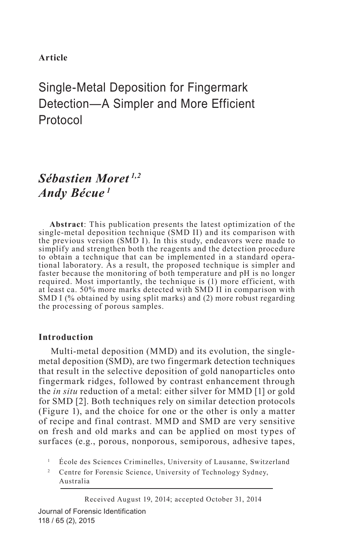## **Article**

# Single-Metal Deposition for Fingermark Detection—A Simpler and More Efficient Protocol

# *Sébastien Moret 1,2 Andy Bécue <sup>1</sup>*

**Abstract**: This publication presents the latest optimization of the single-metal deposition technique (SMD II) and its comparison with the previous version (SMD I). In this study, endeavors were made to simplify and strengthen both the reagents and the detection procedure to obtain a technique that can be implemented in a standard operational laboratory. As a result, the proposed technique is simpler and faster because the monitoring of both temperature and pH is no longer required. Most importantly, the technique is (1) more efficient, with at least ca. 50% more marks detected with SMD II in comparison with SMD I (% obtained by using split marks) and (2) more robust regarding the processing of porous samples.

## **Introduction**

Multi-metal deposition (MMD) and its evolution, the singlemetal deposition (SMD), are two fingermark detection techniques that result in the selective deposition of gold nanoparticles onto fingermark ridges, followed by contrast enhancement through the *in situ* reduction of a metal: either silver for MMD [1] or gold for SMD [2]. Both techniques rely on similar detection protocols (Figure 1), and the choice for one or the other is only a matter of recipe and final contrast. MMD and SMD are very sensitive on fresh and old marks and can be applied on most types of surfaces (e.g., porous, nonporous, semiporous, adhesive tapes,

<sup>1</sup> École des Sciences Criminelles, University of Lausanne, Switzerland

<sup>2</sup> Centre for Forensic Science, University of Technology Sydney, Australia

Journal of Forensic Identification 118 / 65 (2), 2015 Received August 19, 2014; accepted October 31, 2014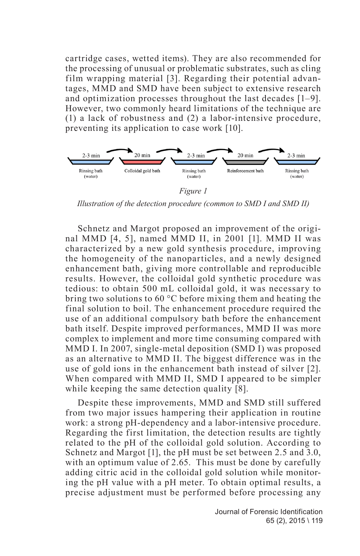cartridge cases, wetted items). They are also recommended for the processing of unusual or problematic substrates, such as cling film wrapping material [3]. Regarding their potential advantages, MMD and SMD have been subject to extensive research and optimization processes throughout the last decades [1–9]. However, two commonly heard limitations of the technique are (1) a lack of robustness and (2) a labor-intensive procedure, preventing its application to case work [10].



*Illustration of the detection procedure (common to SMD I and SMD II)*

Schnetz and Margot proposed an improvement of the original MMD [4, 5], named MMD II, in 2001 [1]. MMD II was characterized by a new gold synthesis procedure, improving the homogeneity of the nanoparticles, and a newly designed enhancement bath, giving more controllable and reproducible results. However, the colloidal gold synthetic procedure was tedious: to obtain 500 mL colloidal gold, it was necessary to bring two solutions to 60 °C before mixing them and heating the final solution to boil. The enhancement procedure required the use of an additional compulsory bath before the enhancement bath itself. Despite improved performances, MMD II was more complex to implement and more time consuming compared with MMD I. In 2007, single-metal deposition (SMD I) was proposed as an alternative to MMD II. The biggest difference was in the use of gold ions in the enhancement bath instead of silver [2]. When compared with MMD II, SMD I appeared to be simpler while keeping the same detection quality [8].

Despite these improvements, MMD and SMD still suffered from two major issues hampering their application in routine work: a strong pH-dependency and a labor-intensive procedure. Regarding the first limitation, the detection results are tightly related to the pH of the colloidal gold solution. According to Schnetz and Margot [1], the pH must be set between 2.5 and 3.0, with an optimum value of 2.65. This must be done by carefully adding citric acid in the colloidal gold solution while monitoring the pH value with a pH meter. To obtain optimal results, a precise adjustment must be performed before processing any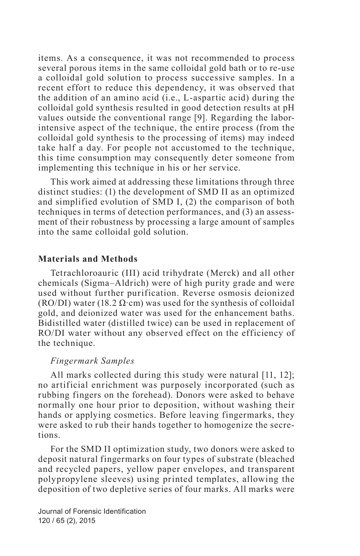items. As a consequence, it was not recommended to process several porous items in the same colloidal gold bath or to re-use a colloidal gold solution to process successive samples. In a recent effort to reduce this dependency, it was observed that the addition of an amino acid (i.e., L-aspartic acid) during the colloidal gold synthesis resulted in good detection results at pH values outside the conventional range [9]. Regarding the laborintensive aspect of the technique, the entire process (from the colloidal gold synthesis to the processing of items) may indeed take half a day. For people not accustomed to the technique, this time consumption may consequently deter someone from implementing this technique in his or her service.

This work aimed at addressing these limitations through three distinct studies: (1) the development of SMD II as an optimized and simplified evolution of SMD I, (2) the comparison of both techniques in terms of detection performances, and (3) an assessment of their robustness by processing a large amount of samples into the same colloidal gold solution.

#### **Materials and Methods**

Tetrachloroauric (III) acid trihydrate (Merck) and all other chemicals (Sigma–Aldrich) were of high purity grade and were used without further purification. Reverse osmosis deionized (RO/DI) water (18.2  $\Omega$ ·cm) was used for the synthesis of colloidal gold, and deionized water was used for the enhancement baths. Bidistilled water (distilled twice) can be used in replacement of RO/DI water without any observed effect on the efficiency of the technique.

#### *Fingermark Samples*

All marks collected during this study were natural [11, 12]; no artificial enrichment was purposely incorporated (such as rubbing fingers on the forehead). Donors were asked to behave normally one hour prior to deposition, without washing their hands or applying cosmetics. Before leaving fingermarks, they were asked to rub their hands together to homogenize the secretions.

For the SMD II optimization study, two donors were asked to deposit natural fingermarks on four types of substrate (bleached and recycled papers, yellow paper envelopes, and transparent polypropylene sleeves) using printed templates, allowing the deposition of two depletive series of four marks. All marks were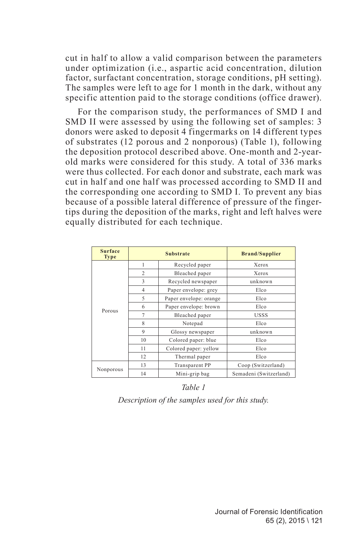cut in half to allow a valid comparison between the parameters under optimization (i.e., aspartic acid concentration, dilution factor, surfactant concentration, storage conditions, pH setting). The samples were left to age for 1 month in the dark, without any specific attention paid to the storage conditions (office drawer).

For the comparison study, the performances of SMD I and SMD II were assessed by using the following set of samples: 3 donors were asked to deposit 4 fingermarks on 14 different types of substrates (12 porous and 2 nonporous) (Table 1), following the deposition protocol described above. One-month and 2-yearold marks were considered for this study. A total of 336 marks were thus collected. For each donor and substrate, each mark was cut in half and one half was processed according to SMD II and the corresponding one according to SMD I. To prevent any bias because of a possible lateral difference of pressure of the fingertips during the deposition of the marks, right and left halves were equally distributed for each technique.

| <b>Surface</b><br><b>Type</b> |                | <b>Substrate</b>       | <b>Brand/Supplier</b>  |  |  |  |
|-------------------------------|----------------|------------------------|------------------------|--|--|--|
|                               | 1              | Recycled paper         | Xerox                  |  |  |  |
|                               | $\overline{c}$ | Bleached paper         | Xerox                  |  |  |  |
|                               | 3              | Recycled newspaper     | unknown                |  |  |  |
|                               | $\overline{4}$ | Paper envelope: grey   | Elco                   |  |  |  |
| Porous                        | 5              | Paper envelope: orange | Elco                   |  |  |  |
|                               | 6              | Paper envelope: brown  | Elco                   |  |  |  |
|                               | 7              | Bleached paper         | <b>USSS</b>            |  |  |  |
|                               | 8              | Notepad                | Elco                   |  |  |  |
|                               | 9              | Glossy newspaper       | unknown                |  |  |  |
|                               | 10             | Colored paper: blue    | Elco                   |  |  |  |
|                               | 11             | Colored paper: yellow  | Elco                   |  |  |  |
|                               | 12             | Thermal paper          | Elco                   |  |  |  |
|                               | 13             | <b>Transparent PP</b>  | Coop (Switzerland)     |  |  |  |
| Nonporous                     | 14             | Mini-grip bag          | Semadeni (Switzerland) |  |  |  |

*Table 1 Description of the samples used for this study.*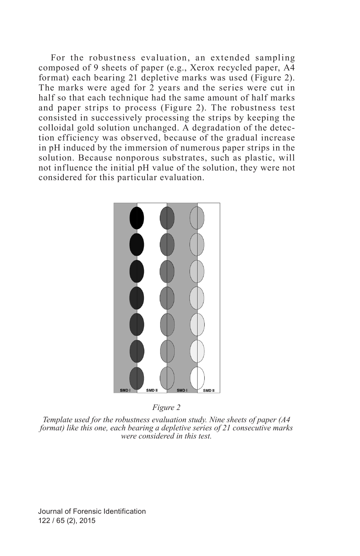For the robustness evaluation, an extended sampling composed of 9 sheets of paper (e.g., Xerox recycled paper, A4 format) each bearing 21 depletive marks was used (Figure 2). The marks were aged for 2 years and the series were cut in half so that each technique had the same amount of half marks and paper strips to process (Figure 2). The robustness test consisted in successively processing the strips by keeping the colloidal gold solution unchanged. A degradation of the detection efficiency was observed, because of the gradual increase in pH induced by the immersion of numerous paper strips in the solution. Because nonporous substrates, such as plastic, will not influence the initial pH value of the solution, they were not considered for this particular evaluation.



*Figure 2*

*Template used for the robustness evaluation study. Nine sheets of paper (A4 format) like this one, each bearing a depletive series of 21 consecutive marks were considered in this test.*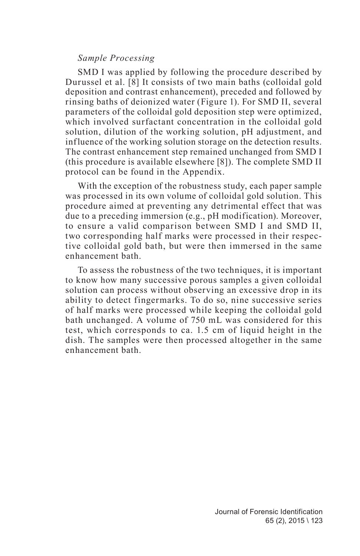#### *Sample Processing*

SMD I was applied by following the procedure described by Durussel et al. [8] It consists of two main baths (colloidal gold deposition and contrast enhancement), preceded and followed by rinsing baths of deionized water (Figure 1). For SMD II, several parameters of the colloidal gold deposition step were optimized, which involved surfactant concentration in the colloidal gold solution, dilution of the working solution, pH adjustment, and influence of the working solution storage on the detection results. The contrast enhancement step remained unchanged from SMD I (this procedure is available elsewhere [8]). The complete SMD II protocol can be found in the Appendix.

With the exception of the robustness study, each paper sample was processed in its own volume of colloidal gold solution. This procedure aimed at preventing any detrimental effect that was due to a preceding immersion (e.g., pH modification). Moreover, to ensure a valid comparison between SMD I and SMD II, two corresponding half marks were processed in their respective colloidal gold bath, but were then immersed in the same enhancement bath.

To assess the robustness of the two techniques, it is important to know how many successive porous samples a given colloidal solution can process without observing an excessive drop in its ability to detect fingermarks. To do so, nine successive series of half marks were processed while keeping the colloidal gold bath unchanged. A volume of 750 mL was considered for this test, which corresponds to ca. 1.5 cm of liquid height in the dish. The samples were then processed altogether in the same enhancement bath.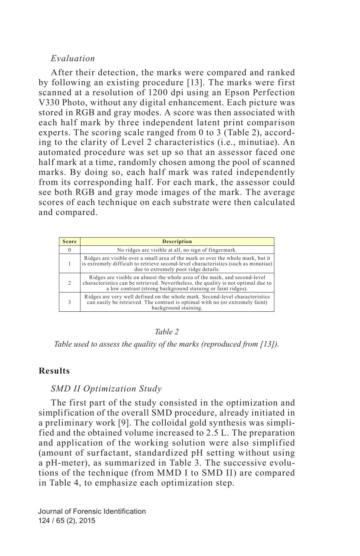## *Evaluation*

After their detection, the marks were compared and ranked by following an existing procedure [13]. The marks were first scanned at a resolution of 1200 dpi using an Epson Perfection V330 Photo, without any digital enhancement. Each picture was stored in RGB and gray modes. A score was then associated with each half mark by three independent latent print comparison experts. The scoring scale ranged from 0 to 3 (Table 2), according to the clarity of Level 2 characteristics (i.e., minutiae). An automated procedure was set up so that an assessor faced one half mark at a time, randomly chosen among the pool of scanned marks. By doing so, each half mark was rated independently from its corresponding half. For each mark, the assessor could see both RGB and gray mode images of the mark. The average scores of each technique on each substrate were then calculated and compared.

| <b>Score</b>   | <b>Description</b>                                                                                                                                                                                                             |
|----------------|--------------------------------------------------------------------------------------------------------------------------------------------------------------------------------------------------------------------------------|
| $\Omega$       | No ridges are visible at all, no sign of fingermark.                                                                                                                                                                           |
|                | Ridges are visible over a small area of the mark or over the whole mark, but it<br>is extremely difficult to retrieve second-level characteristics (such as minutiae)<br>due to extremely poor ridge details.                  |
| $\mathfrak{D}$ | Ridges are visible on almost the whole area of the mark, and second-level<br>characteristics can be retrieved. Nevertheless, the quality is not optimal due to<br>a low contrast (strong background staining or faint ridges). |
|                | Ridges are very well defined on the whole mark. Second-level characteristics<br>can easily be retrieved. The contrast is optimal with no (or extremely faint)<br>background staining.                                          |

#### *Table 2*

*Table used to assess the quality of the marks (reproduced from [13]).*

## **Results**

#### *SMD II Optimization Study*

The first part of the study consisted in the optimization and simplification of the overall SMD procedure, already initiated in a preliminary work [9]. The colloidal gold synthesis was simplified and the obtained volume increased to 2.5 L. The preparation and application of the working solution were also simplified (amount of surfactant, standardized pH setting without using a pH-meter), as summarized in Table 3. The successive evolutions of the technique (from MMD I to SMD II) are compared in Table 4, to emphasize each optimization step.

Journal of Forensic Identification 124 / 65 (2), 2015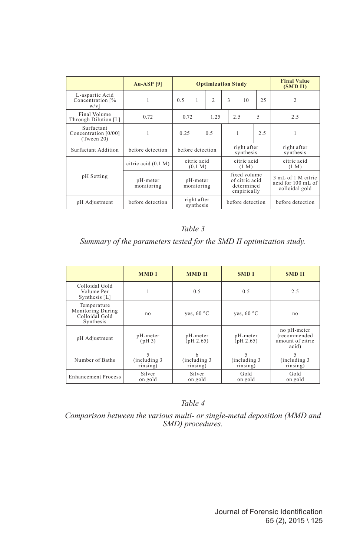|                                                  | $Au-ASP$ [9]           | <b>Optimization Study</b> |   |                                                             |                  |  |     | <b>Final Value</b><br>(SMD II) |                                                            |                  |                |  |   |
|--------------------------------------------------|------------------------|---------------------------|---|-------------------------------------------------------------|------------------|--|-----|--------------------------------|------------------------------------------------------------|------------------|----------------|--|---|
| L-aspartic Acid<br>Concentration [%<br>$W/V$ ]   | 1                      | 0.5                       | 1 |                                                             | $\overline{2}$   |  | 3   |                                | 10                                                         | 25               | $\overline{c}$ |  |   |
| Final Volume<br>Through Dilution [L]             | 0.72                   | 0.72                      |   |                                                             | 1.25             |  | 2.5 |                                |                                                            | 5                | 2.5            |  |   |
| Surfactant<br>Concentration [0/00]<br>(Tween 20) | 1                      | 0.25                      |   |                                                             | 0.5              |  |     | 1                              |                                                            | 2.5              |                |  | 1 |
| Surfactant Addition                              | before detection       | before detection          |   | right after<br>synthesis                                    |                  |  |     |                                | right after<br>synthesis                                   |                  |                |  |   |
|                                                  | citric acid (0.1 M)    | citric acid<br>(0.1 M)    |   | citric acid<br>(1 M)                                        |                  |  |     |                                | citric acid<br>(1 M)                                       |                  |                |  |   |
| pH Setting                                       | pH-meter<br>monitoring | pH-meter<br>monitoring    |   | fixed volume<br>of citric acid<br>determined<br>empirically |                  |  |     |                                | 3 mL of 1 M citric<br>acid for 100 mL of<br>colloidal gold |                  |                |  |   |
| pH Adjustment                                    | before detection       | right after<br>synthesis  |   |                                                             | before detection |  |     |                                |                                                            | before detection |                |  |   |

*Table 3*

*Summary of the parameters tested for the SMD II optimization study.*

|                                                                 | <b>MMDI</b>                    | <b>MMDII</b>                   | <b>SMD</b> I                   | <b>SMD II</b>                                            |  |
|-----------------------------------------------------------------|--------------------------------|--------------------------------|--------------------------------|----------------------------------------------------------|--|
| Colloidal Gold<br>Volume Per<br>Synthesis [L]                   |                                | 0.5                            | 0.5                            | 2.5                                                      |  |
| Temperature<br>Monitoring During<br>Colloidal Gold<br>Synthesis | no                             | ves, $60 °C$                   | ves, $60 °C$                   | no                                                       |  |
| pH Adjustment                                                   | pH-meter<br>(pH <sub>3</sub> ) | pH-meter<br>(pH 2.65)          | pH-meter<br>pH 2.65)           | no pH-meter<br>(recommended<br>amount of citric<br>acid) |  |
| Number of Baths                                                 | 5<br>(including 3)<br>rinsing) | 6<br>(including 3)<br>rinsing) | 5<br>(including 3)<br>rinsing) | 5<br>(including 3)<br>rinsing)                           |  |
| <b>Enhancement Process</b>                                      | Silver<br>on gold              | Silver<br>on gold              | Gold<br>on gold                | Gold<br>on gold                                          |  |

*Table 4*

*Comparison between the various multi- or single-metal deposition (MMD and SMD) procedures.*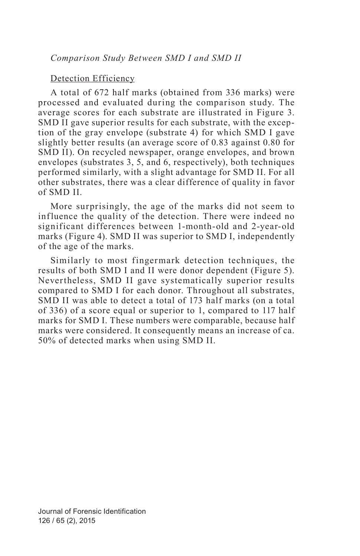## Detection Efficiency

A total of 672 half marks (obtained from 336 marks) were processed and evaluated during the comparison study. The average scores for each substrate are illustrated in Figure 3. SMD II gave superior results for each substrate, with the exception of the gray envelope (substrate 4) for which SMD I gave slightly better results (an average score of 0.83 against 0.80 for SMD II). On recycled newspaper, orange envelopes, and brown envelopes (substrates 3, 5, and 6, respectively), both techniques performed similarly, with a slight advantage for SMD II. For all other substrates, there was a clear difference of quality in favor of SMD II.

More surprisingly, the age of the marks did not seem to inf luence the quality of the detection. There were indeed no significant differences between 1-month-old and 2-year-old marks (Figure 4). SMD II was superior to SMD I, independently of the age of the marks.

Similarly to most fingermark detection techniques, the results of both SMD I and II were donor dependent (Figure 5). Nevertheless, SMD II gave systematically superior results compared to SMD I for each donor. Throughout all substrates, SMD II was able to detect a total of 173 half marks (on a total of 336) of a score equal or superior to 1, compared to 117 half marks for SMD I. These numbers were comparable, because half marks were considered. It consequently means an increase of ca. 50% of detected marks when using SMD II.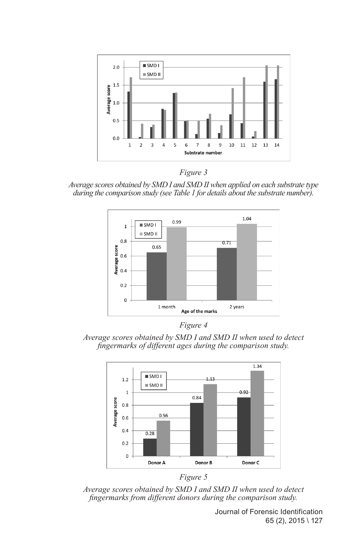



*Average scores obtained by SMD I and SMD II when applied on each substrate type during the comparison study (see Table 1 for details about the substrate number).*



*Figure 4*

*Average scores obtained by SMD I and SMD II when used to detect fingermarks of different ages during the comparison study.*





*Average scores obtained by SMD I and SMD II when used to detect fingermarks from different donors during the comparison study.*

Journal of Forensic Identification 65 (2), 2015 \ 127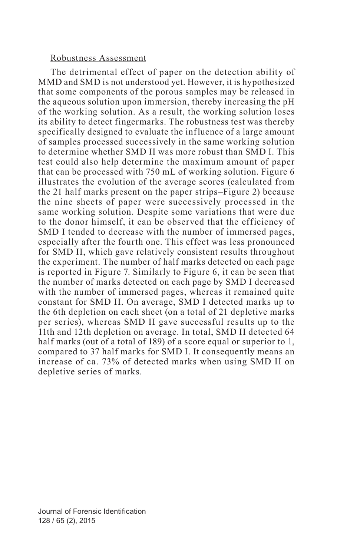## Robustness Assessment

The detrimental effect of paper on the detection ability of MMD and SMD is not understood yet. However, it is hypothesized that some components of the porous samples may be released in the aqueous solution upon immersion, thereby increasing the pH of the working solution. As a result, the working solution loses its ability to detect fingermarks. The robustness test was thereby specifically designed to evaluate the influence of a large amount of samples processed successively in the same working solution to determine whether SMD II was more robust than SMD I. This test could also help determine the maximum amount of paper that can be processed with 750 mL of working solution. Figure 6 illustrates the evolution of the average scores (calculated from the 21 half marks present on the paper strips–Figure 2) because the nine sheets of paper were successively processed in the same working solution. Despite some variations that were due to the donor himself, it can be observed that the efficiency of SMD I tended to decrease with the number of immersed pages, especially after the fourth one. This effect was less pronounced for SMD II, which gave relatively consistent results throughout the experiment. The number of half marks detected on each page is reported in Figure 7. Similarly to Figure 6, it can be seen that the number of marks detected on each page by SMD I decreased with the number of immersed pages, whereas it remained quite constant for SMD II. On average, SMD I detected marks up to the 6th depletion on each sheet (on a total of 21 depletive marks per series), whereas SMD II gave successful results up to the 11th and 12th depletion on average. In total, SMD II detected 64 half marks (out of a total of 189) of a score equal or superior to 1, compared to 37 half marks for SMD I. It consequently means an increase of ca. 73% of detected marks when using SMD II on depletive series of marks.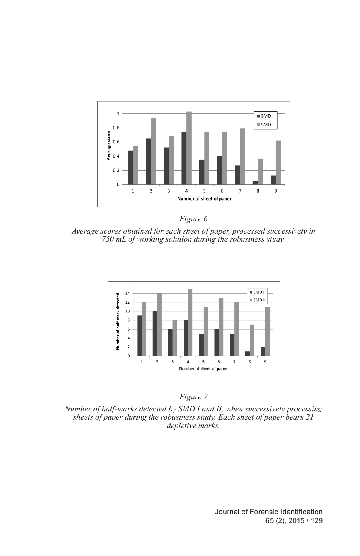



*Average scores obtained for each sheet of paper, processed successively in 750 mL of working solution during the robustness study.*





*Number of half-marks detected by SMD I and II, when successively processing sheets of paper during the robustness study. Each sheet of paper bears 21 depletive marks.*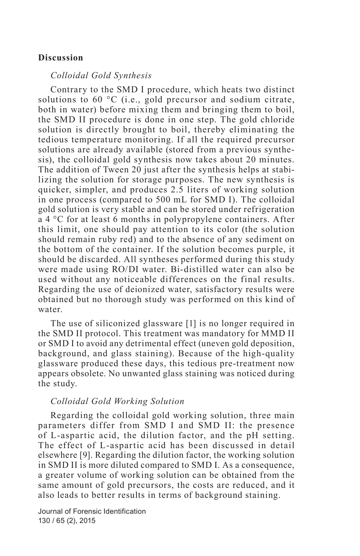## **Discussion**

#### *Colloidal Gold Synthesis*

Contrary to the SMD I procedure, which heats two distinct solutions to 60 °C (i.e., gold precursor and sodium citrate, both in water) before mixing them and bringing them to boil, the SMD II procedure is done in one step. The gold chloride solution is directly brought to boil, thereby eliminating the tedious temperature monitoring. If all the required precursor solutions are already available (stored from a previous synthesis), the colloidal gold synthesis now takes about 20 minutes. The addition of Tween 20 just after the synthesis helps at stabilizing the solution for storage purposes. The new synthesis is quicker, simpler, and produces 2.5 liters of working solution in one process (compared to 500 mL for SMD I). The colloidal gold solution is very stable and can be stored under refrigeration a 4 °C for at least 6 months in polypropylene containers. After this limit, one should pay attention to its color (the solution should remain ruby red) and to the absence of any sediment on the bottom of the container. If the solution becomes purple, it should be discarded. All syntheses performed during this study were made using RO/DI water. Bi-distilled water can also be used without any noticeable differences on the final results. Regarding the use of deionized water, satisfactory results were obtained but no thorough study was performed on this kind of water.

The use of siliconized glassware [1] is no longer required in the SMD II protocol. This treatment was mandatory for MMD II or SMD I to avoid any detrimental effect (uneven gold deposition, background, and glass staining). Because of the high-quality glassware produced these days, this tedious pre-treatment now appears obsolete. No unwanted glass staining was noticed during the study.

#### *Colloidal Gold Working Solution*

Regarding the colloidal gold working solution, three main parameters differ from SMD I and SMD II: the presence of L-aspartic acid, the dilution factor, and the pH setting. The effect of L-aspartic acid has been discussed in detail elsewhere [9]. Regarding the dilution factor, the working solution in SMD II is more diluted compared to SMD I. As a consequence, a greater volume of working solution can be obtained from the same amount of gold precursors, the costs are reduced, and it also leads to better results in terms of background staining.

Journal of Forensic Identification 130 / 65 (2), 2015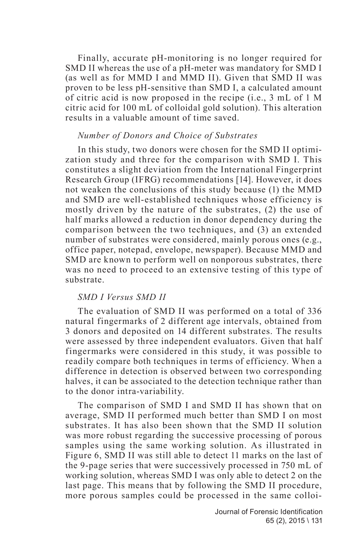Finally, accurate pH-monitoring is no longer required for SMD II whereas the use of a pH-meter was mandatory for SMD I (as well as for MMD I and MMD II). Given that SMD II was proven to be less pH-sensitive than SMD I, a calculated amount of citric acid is now proposed in the recipe (i.e., 3 mL of 1 M citric acid for 100 mL of colloidal gold solution). This alteration results in a valuable amount of time saved.

#### *Number of Donors and Choice of Substrates*

In this study, two donors were chosen for the SMD II optimization study and three for the comparison with SMD I. This constitutes a slight deviation from the International Fingerprint Research Group (IFRG) recommendations [14]. However, it does not weaken the conclusions of this study because (1) the MMD and SMD are well-established techniques whose efficiency is mostly driven by the nature of the substrates, (2) the use of half marks allowed a reduction in donor dependency during the comparison between the two techniques, and (3) an extended number of substrates were considered, mainly porous ones (e.g., office paper, notepad, envelope, newspaper). Because MMD and SMD are known to perform well on nonporous substrates, there was no need to proceed to an extensive testing of this type of substrate.

#### *SMD I Versus SMD II*

The evaluation of SMD II was performed on a total of 336 natural fingermarks of 2 different age intervals, obtained from 3 donors and deposited on 14 different substrates. The results were assessed by three independent evaluators. Given that half fingermarks were considered in this study, it was possible to readily compare both techniques in terms of efficiency. When a difference in detection is observed between two corresponding halves, it can be associated to the detection technique rather than to the donor intra-variability.

The comparison of SMD I and SMD II has shown that on average, SMD II performed much better than SMD I on most substrates. It has also been shown that the SMD II solution was more robust regarding the successive processing of porous samples using the same working solution. As illustrated in Figure 6, SMD II was still able to detect 11 marks on the last of the 9-page series that were successively processed in 750 mL of working solution, whereas SMD I was only able to detect 2 on the last page. This means that by following the SMD II procedure, more porous samples could be processed in the same colloi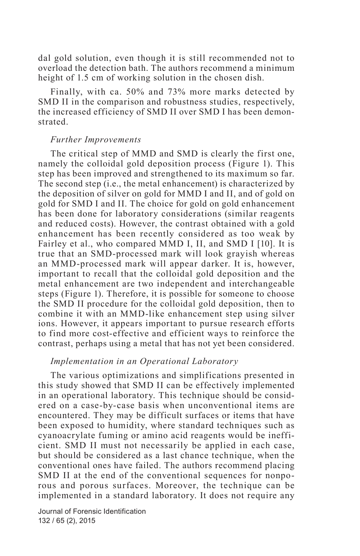dal gold solution, even though it is still recommended not to overload the detection bath. The authors recommend a minimum height of 1.5 cm of working solution in the chosen dish.

Finally, with ca. 50% and 73% more marks detected by SMD II in the comparison and robustness studies, respectively, the increased efficiency of SMD II over SMD I has been demonstrated.

#### *Further Improvements*

The critical step of MMD and SMD is clearly the first one, namely the colloidal gold deposition process (Figure 1). This step has been improved and strengthened to its maximum so far. The second step (i.e., the metal enhancement) is characterized by the deposition of silver on gold for MMD I and II, and of gold on gold for SMD I and II. The choice for gold on gold enhancement has been done for laboratory considerations (similar reagents and reduced costs). However, the contrast obtained with a gold enhancement has been recently considered as too weak by Fairley et al., who compared MMD I, II, and SMD I [10]. It is true that an SMD-processed mark will look grayish whereas an MMD-processed mark will appear darker. It is, however, important to recall that the colloidal gold deposition and the metal enhancement are two independent and interchangeable steps (Figure 1). Therefore, it is possible for someone to choose the SMD II procedure for the colloidal gold deposition, then to combine it with an MMD-like enhancement step using silver ions. However, it appears important to pursue research efforts to find more cost-effective and efficient ways to reinforce the contrast, perhaps using a metal that has not yet been considered.

### *Implementation in an Operational Laboratory*

The various optimizations and simplifications presented in this study showed that SMD II can be effectively implemented in an operational laboratory. This technique should be considered on a case-by-case basis when unconventional items are encountered. They may be difficult surfaces or items that have been exposed to humidity, where standard techniques such as cyanoacrylate fuming or amino acid reagents would be inefficient. SMD II must not necessarily be applied in each case, but should be considered as a last chance technique, when the conventional ones have failed. The authors recommend placing SMD II at the end of the conventional sequences for nonporous and porous surfaces. Moreover, the technique can be implemented in a standard laboratory. It does not require any

Journal of Forensic Identification 132 / 65 (2), 2015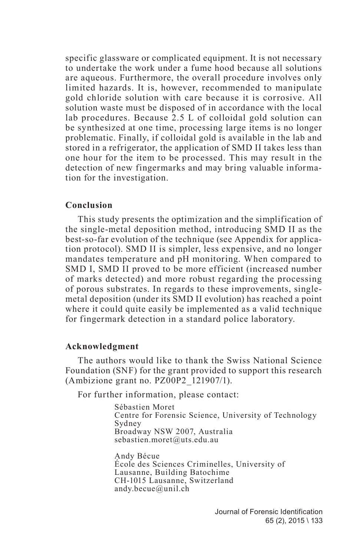specific glassware or complicated equipment. It is not necessary to undertake the work under a fume hood because all solutions are aqueous. Furthermore, the overall procedure involves only limited hazards. It is, however, recommended to manipulate gold chloride solution with care because it is corrosive. All solution waste must be disposed of in accordance with the local lab procedures. Because 2.5 L of colloidal gold solution can be synthesized at one time, processing large items is no longer problematic. Finally, if colloidal gold is available in the lab and stored in a refrigerator, the application of SMD II takes less than one hour for the item to be processed. This may result in the detection of new fingermarks and may bring valuable information for the investigation.

#### **Conclusion**

This study presents the optimization and the simplification of the single-metal deposition method, introducing SMD II as the best-so-far evolution of the technique (see Appendix for application protocol). SMD II is simpler, less expensive, and no longer mandates temperature and pH monitoring. When compared to SMD I, SMD II proved to be more efficient (increased number of marks detected) and more robust regarding the processing of porous substrates. In regards to these improvements, singlemetal deposition (under its SMD II evolution) has reached a point where it could quite easily be implemented as a valid technique for fingermark detection in a standard police laboratory.

### **Acknowledgment**

The authors would like to thank the Swiss National Science Foundation (SNF) for the grant provided to support this research (Ambizione grant no. PZ00P2\_121907/1).

For further information, please contact:

Sébastien Moret Centre for Forensic Science, University of Technology Sydney Broadway NSW 2007, Australia sebastien.moret@uts.edu.au

Andy Bécue École des Sciences Criminelles, University of Lausanne, Building Batochime CH-1015 Lausanne, Switzerland andy.becue@unil.ch

> Journal of Forensic Identification 65 (2), 2015 \ 133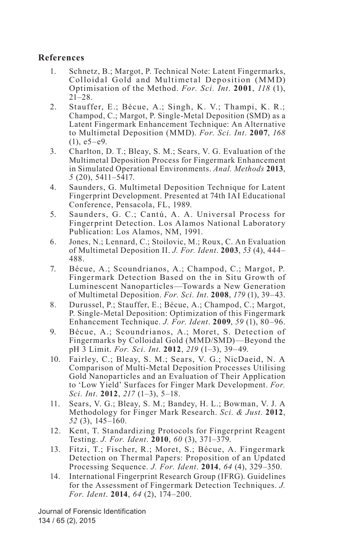## **References**

- 1. Schnetz, B.; Margot, P. Technical Note: Latent Fingermarks, Colloidal Gold and Multimetal Deposition (MMD) Optimisation of the Method. *For. Sci. Int*. **2001**, *118* (1),  $21 - 28$ .
- 2. Stauffer, E.; Bécue, A.; Singh, K. V.; Thampi, K. R.; Champod, C.; Margot, P. Single-Metal Deposition (SMD) as a Latent Fingermark Enhancement Technique: An Alternative to Multimetal Deposition (MMD). *For. Sci. Int*. **2007**, *168*   $(1), e5-e9.$
- 3. Charlton, D. T.; Bleay, S. M.; Sears, V. G. Evaluation of the Multimetal Deposition Process for Fingermark Enhancement in Simulated Operational Environments. *Anal. Methods* **2013**, *5* (20), 5411–5417.
- 4. Saunders, G. Multimetal Deposition Technique for Latent Fingerprint Development. Presented at 74th IAI Educational Conference, Pensacola, FL, 1989.
- 5. Saunders, G. C.; Cantú, A. A. Universal Process for Fingerprint Detection. Los Alamos National Laboratory Publication: Los Alamos, NM, 1991.
- 6. Jones, N.; Lennard, C.; Stoilovic, M.; Roux, C. An Evaluation of Multimetal Deposition II. *J. For. Ident*. **2003**, *53* (4), 444– 488.
- 7. Bécue, A.; Scoundrianos, A.; Champod, C.; Margot, P. Fingermark Detection Based on the in Situ Growth of Luminescent Nanoparticles—Towards a New Generation of Multimetal Deposition. *For. Sci. Int*. **2008**, *179* (1), 39–43.
- 8. Durussel, P.; Stauffer, E.; Bécue, A.; Champod, C.; Margot, P. Single-Metal Deposition: Optimization of this Fingermark Enhancement Technique. *J. For. Ident*. **2009**, *59* (1), 80–96.
- 9. Bécue, A.; Scoundrianos, A.; Moret, S. Detection of Fingermarks by Colloidal Gold (MMD/SMD)—Beyond the pH 3 Limit. *For. Sci. Int*. **2012**, *219* (1–3), 39–49.
- 10. Fairley, C.; Bleay, S. M.; Sears, V. G.; NicDaeid, N. A Comparison of Multi-Metal Deposition Processes Utilising Gold Nanoparticles and an Evaluation of Their Application to 'Low Yield' Surfaces for Finger Mark Development. *For. Sci. Int*. **2012**, *217* (1–3), 5–18.
- 11. Sears, V. G.; Bleay, S. M.; Bandey, H. L.; Bowman, V. J. A Methodology for Finger Mark Research. *Sci. & Just*. **2012**, *52* (3), 145–160.
- 12. Kent, T. Standardizing Protocols for Fingerprint Reagent Testing. *J. For. Ident*. **2010**, *60* (3), 371–379.
- 13. Fitzi, T.; Fischer, R.; Moret, S.; Bécue, A. Fingermark Detection on Thermal Papers: Proposition of an Updated Processing Sequence. *J. For. Ident*. **2014**, *64* (4), 329–350.
- 14. International Fingerprint Research Group (IFRG). Guidelines for the Assessment of Fingermark Detection Techniques. *J. For. Ident*. **2014**, *64* (2), 174–200.

Journal of Forensic Identification 134 / 65 (2), 2015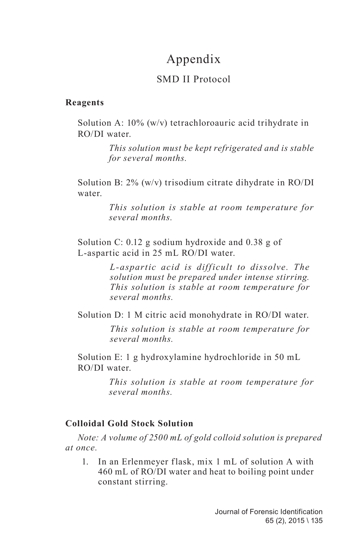# Appendix

## SMD II Protocol

## **Reagents**

Solution A: 10% (w/v) tetrachloroauric acid trihydrate in RO/DI water.

> *This solution must be kept refrigerated and is stable for several months.*

Solution B: 2% (w/v) trisodium citrate dihydrate in RO/DI water.

> *This solution is stable at room temperature for several months.*

Solution C: 0.12 g sodium hydroxide and 0.38 g of L-aspartic acid in 25 mL RO/DI water.

> *L-aspartic acid is difficult to dissolve. The solution must be prepared under intense stirring. This solution is stable at room temperature for several months.*

Solution D: 1 M citric acid monohydrate in RO/DI water.

*This solution is stable at room temperature for several months.*

Solution E: 1 g hydroxylamine hydrochloride in 50 mL RO/DI water.

> *This solution is stable at room temperature for several months.*

## **Colloidal Gold Stock Solution**

*Note: A volume of 2500 mL of gold colloid solution is prepared at once.*

1. In an Erlenmeyer flask, mix 1 mL of solution A with 460 mL of RO/DI water and heat to boiling point under constant stirring.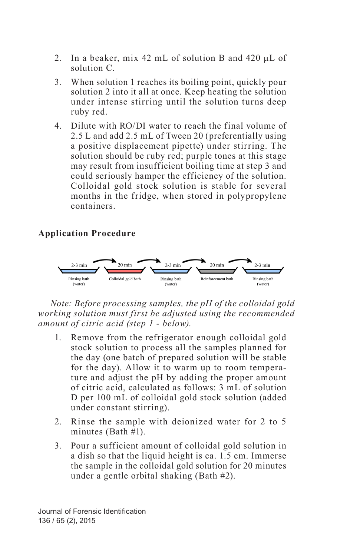- 2. In a beaker, mix 42 mL of solution B and 420 μL of solution C.
- 3. When solution 1 reaches its boiling point, quickly pour solution 2 into it all at once. Keep heating the solution under intense stirring until the solution turns deep ruby red.
- 4. Dilute with RO/DI water to reach the final volume of 2.5 L and add 2.5 mL of Tween 20 (preferentially using a positive displacement pipette) under stirring. The solution should be ruby red; purple tones at this stage may result from insufficient boiling time at step 3 and could seriously hamper the efficiency of the solution. Colloidal gold stock solution is stable for several months in the fridge, when stored in polypropylene containers.

## **Application Procedure**



*Note: Before processing samples, the pH of the colloidal gold working solution must first be adjusted using the recommended amount of citric acid (step 1 - below).*

- 1. Remove from the refrigerator enough colloidal gold stock solution to process all the samples planned for the day (one batch of prepared solution will be stable for the day). Allow it to warm up to room temperature and adjust the pH by adding the proper amount of citric acid, calculated as follows: 3 mL of solution D per 100 mL of colloidal gold stock solution (added under constant stirring).
- 2. Rinse the sample with deionized water for 2 to 5 minutes (Bath #1).
- 3. Pour a sufficient amount of colloidal gold solution in a dish so that the liquid height is ca. 1.5 cm. Immerse the sample in the colloidal gold solution for 20 minutes under a gentle orbital shaking (Bath #2).